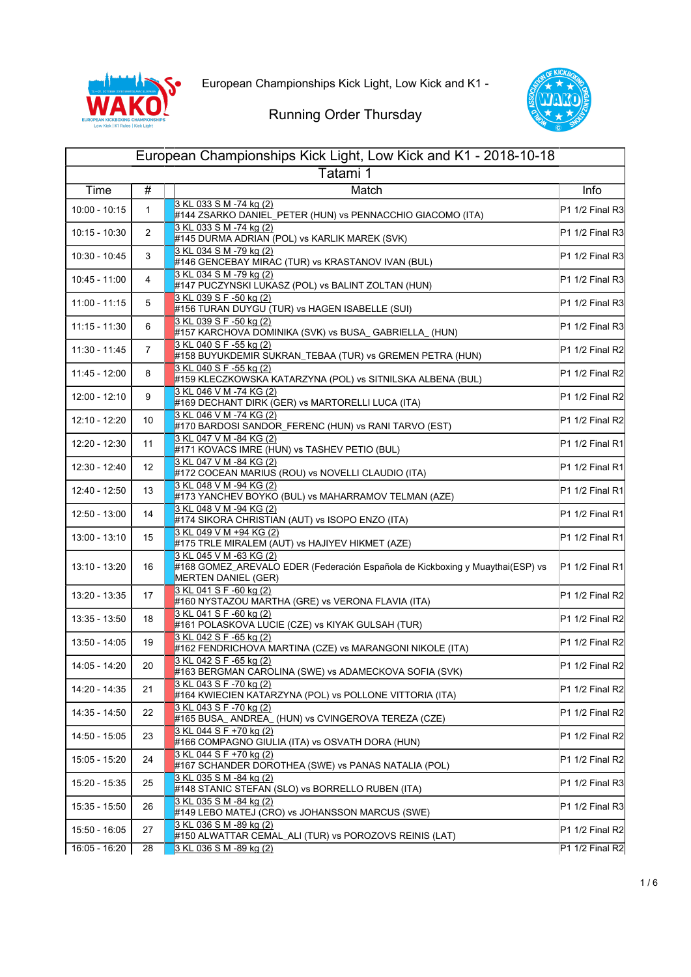



| European Championships Kick Light, Low Kick and K1 - 2018-10-18 |                   |                                                                                                                                        |                 |
|-----------------------------------------------------------------|-------------------|----------------------------------------------------------------------------------------------------------------------------------------|-----------------|
| Tatami 1                                                        |                   |                                                                                                                                        |                 |
| Time                                                            | #                 | Match                                                                                                                                  | Info            |
| $10:00 - 10:15$                                                 | 1                 | 3 KL 033 S M -74 kg (2)<br>#144 ZSARKO DANIEL_PETER (HUN) vs PENNACCHIO GIACOMO (ITA)                                                  | P1 1/2 Final R3 |
| 10:15 - 10:30                                                   | $\overline{2}$    | 3 KL 033 S M -74 kg (2)<br>#145 DURMA ADRIAN (POL) vs KARLIK MAREK (SVK)                                                               | P1 1/2 Final R3 |
| 10:30 - 10:45                                                   | 3                 | 3 KL 034 S M -79 kg (2)<br>#146 GENCEBAY MIRAC (TUR) vs KRASTANOV IVAN (BUL)                                                           | P1 1/2 Final R3 |
| 10:45 - 11:00                                                   | 4                 | 3 KL 034 S M -79 kg (2)<br>#147 PUCZYNSKI LUKASZ (POL) vs BALINT ZOLTAN (HUN)                                                          | P1 1/2 Final R3 |
| $11:00 - 11:15$                                                 | 5                 | 3 KL 039 S F -50 kg (2)<br>#156 TURAN DUYGU (TUR) vs HAGEN ISABELLE (SUI)                                                              | P1 1/2 Final R3 |
| $11:15 - 11:30$                                                 | 6                 | 3 KL 039 S F -50 kg (2)<br>#157 KARCHOVA DOMINIKA (SVK) vs BUSA_ GABRIELLA_ (HUN)                                                      | P1 1/2 Final R3 |
| 11:30 - 11:45                                                   | $\overline{7}$    | 3 KL 040 S F -55 kg (2)<br>#158 BUYUKDEMIR SUKRAN_TEBAA (TUR) vs GREMEN PETRA (HUN)                                                    | P1 1/2 Final R2 |
| 11:45 - 12:00                                                   | 8                 | 3 KL 040 S F -55 kg (2)<br>#159 KLECZKOWSKA KATARZYNA (POL) vs SITNILSKA ALBENA (BUL)                                                  | P1 1/2 Final R2 |
| 12:00 - 12:10                                                   | 9                 | 3 KL 046 V M -74 KG (2)<br>#169 DECHANT DIRK (GER) vs MARTORELLI LUCA (ITA)                                                            | P1 1/2 Final R2 |
| 12:10 - 12:20                                                   | 10                | 3 KL 046 V M -74 KG (2)<br>#170 BARDOSI SANDOR_FERENC (HUN) vs RANI TARVO (EST)                                                        | P1 1/2 Final R2 |
| 12:20 - 12:30                                                   | 11                | 3 KL 047 V M -84 KG (2)<br>#171 KOVACS IMRE (HUN) vs TASHEV PETIO (BUL)                                                                | P1 1/2 Final R1 |
| 12:30 - 12:40                                                   | $12 \overline{ }$ | 3 KL 047 V M -84 KG (2)<br>#172 COCEAN MARIUS (ROU) vs NOVELLI CLAUDIO (ITA)                                                           | P1 1/2 Final R1 |
| 12:40 - 12:50                                                   | 13                | 3 KL 048 V M -94 KG (2)<br>#173 YANCHEV BOYKO (BUL) vs MAHARRAMOV TELMAN (AZE)                                                         | P1 1/2 Final R1 |
| $12:50 - 13:00$                                                 | 14                | 3 KL 048 V M -94 KG (2)<br>#174 SIKORA CHRISTIAN (AUT) vs ISOPO ENZO (ITA)                                                             | P1 1/2 Final R1 |
| 13:00 - 13:10                                                   | 15                | 3 KL 049 V M +94 KG (2)<br>#175 TRLE MIRALEM (AUT) vs HAJIYEV HIKMET (AZE)                                                             | P1 1/2 Final R1 |
| 13:10 - 13:20                                                   | 16                | 3 KL 045 V M -63 KG (2)<br>#168 GOMEZ_AREVALO EDER (Federación Española de Kickboxing y Muaythai(ESP) vs<br><b>MERTEN DANIEL (GER)</b> | P1 1/2 Final R1 |
| 13:20 - 13:35                                                   | 17                | 3 KL 041 S F -60 kg (2)<br>#160 NYSTAZOU MARTHA (GRE) vs VERONA FLAVIA (ITA)                                                           | P1 1/2 Final R2 |
| 13:35 - 13:50                                                   | 18                | 3 KL 041 S F -60 kg (2)<br>#161 POLASKOVA LUCIE (CZE) vs KIYAK GULSAH (TUR)                                                            | P1 1/2 Final R2 |
| 13:50 - 14:05                                                   | 19                | 3 KL 042 S F -65 kg (2)<br>#162 FENDRICHOVA MARTINA (CZE) vs MARANGONI NIKOLE (ITA)                                                    | P1 1/2 Final R2 |
| 14:05 - 14:20                                                   | 20                | 3 KL 042 S F -65 kg (2)<br>#163 BERGMAN CAROLINA (SWE) vs ADAMECKOVA SOFIA (SVK)                                                       | P1 1/2 Final R2 |
| 14:20 - 14:35                                                   | 21                | 3 KL 043 S F -70 kg (2)<br>#164 KWIECIEN KATARZYNA (POL) vs POLLONE VITTORIA (ITA)                                                     | P1 1/2 Final R2 |
| 14:35 - 14:50                                                   | 22                | 3 KL 043 S F -70 kg (2)<br>#165 BUSA_ANDREA_ (HUN) vs CVINGEROVA TEREZA (CZE)                                                          | P1 1/2 Final R2 |
| 14:50 - 15:05                                                   | 23                | 3 KL 044 S F +70 kg (2)<br>#166 COMPAGNO GIULIA (ITA) vs OSVATH DORA (HUN)                                                             | P1 1/2 Final R2 |
| 15:05 - 15:20                                                   | 24                | 3 KL 044 S F +70 kg (2)<br>#167 SCHANDER DOROTHEA (SWE) vs PANAS NATALIA (POL)                                                         | P1 1/2 Final R2 |
| 15:20 - 15:35                                                   | 25                | 3 KL 035 S M -84 kg (2)<br>#148 STANIC STEFAN (SLO) vs BORRELLO RUBEN (ITA)                                                            | P1 1/2 Final R3 |
| 15:35 - 15:50                                                   | 26                | 3 KL 035 S M -84 kg (2)<br>#149 LEBO MATEJ (CRO) vs JOHANSSON MARCUS (SWE)                                                             | P1 1/2 Final R3 |
| 15:50 - 16:05                                                   | 27                | 3 KL 036 S M -89 kg (2)<br>#150 ALWATTAR CEMAL_ALI (TUR) vs POROZOVS REINIS (LAT)                                                      | P1 1/2 Final R2 |
| $16.05 - 16.20$                                                 | 28                | 3 KL 036 S M -89 kg (2)                                                                                                                | P1 1/2 Final R2 |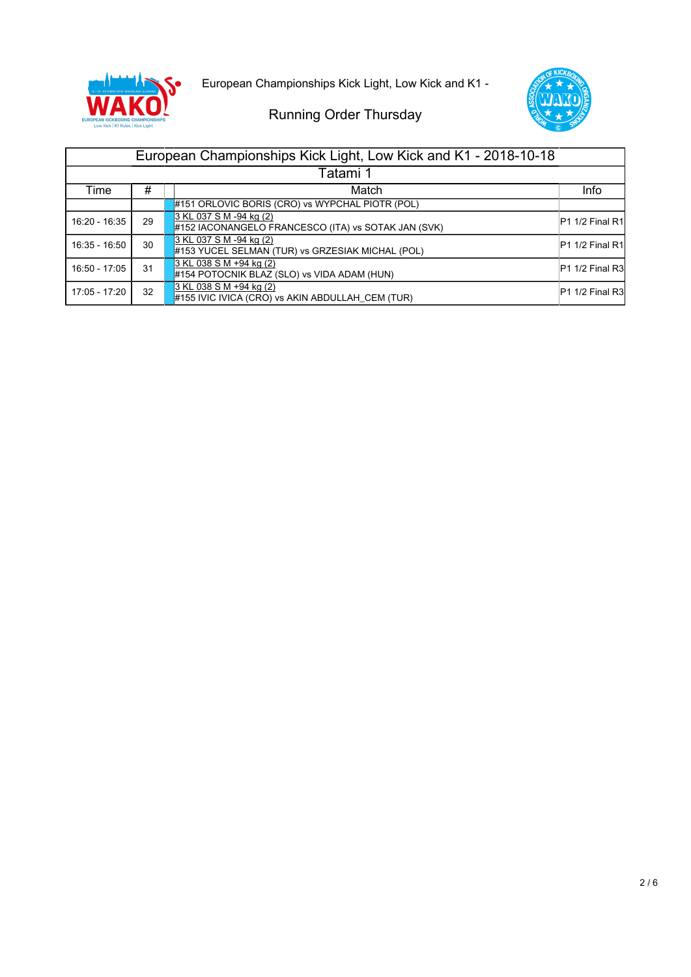

European Championships Kick Light, Low Kick and K1 -



| European Championships Kick Light, Low Kick and K1 - 2018-10-18 |    |                                                                                |                                         |
|-----------------------------------------------------------------|----|--------------------------------------------------------------------------------|-----------------------------------------|
| Tatami 1                                                        |    |                                                                                |                                         |
| Time                                                            | #  | Match                                                                          | Info                                    |
|                                                                 |    | #151 ORLOVIC BORIS (CRO) vs WYPCHAL PIOTR (POL)                                |                                         |
| 16:20 - 16:35                                                   | 29 | 3 KL 037 S M -94 kg (2)<br>#152 IACONANGELO FRANCESCO (ITA) vs SOTAK JAN (SVK) | <b>P1 1/2 Final R1</b>                  |
| 16:35 - 16:50                                                   | 30 | 3 KL 037 S M -94 kg (2)<br>#153 YUCEL SELMAN (TUR) vs GRZESIAK MICHAL (POL)    | P <sub>1</sub> 1/2 Final R <sub>1</sub> |
| 16:50 - 17:05                                                   | 31 | 3 KL 038 S M +94 kg (2)<br>#154 POTOCNIK BLAZ (SLO) vs VIDA ADAM (HUN)         | <b>P1 1/2 Final R3</b>                  |
| 17:05 - 17:20                                                   | 32 | 3 KL 038 S M +94 kg (2)<br>#155 IVIC IVICA (CRO) vs AKIN ABDULLAH_CEM (TUR)    | <b>P1 1/2 Final R3</b>                  |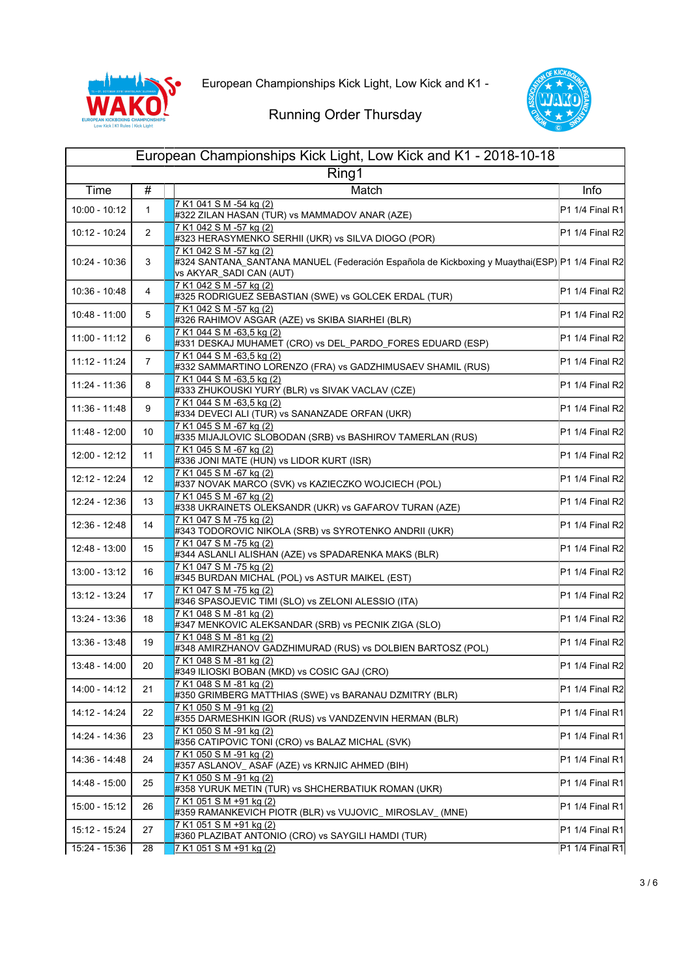



| European Championships Kick Light, Low Kick and K1 - 2018-10-18 |                 |                                                                                                                                                                   |                   |
|-----------------------------------------------------------------|-----------------|-------------------------------------------------------------------------------------------------------------------------------------------------------------------|-------------------|
| Ring1                                                           |                 |                                                                                                                                                                   |                   |
| Time                                                            | #               | Match                                                                                                                                                             | Info              |
| 10:00 - 10:12                                                   | 1               | 7 K1 041 S M -54 kg (2)<br>#322 ZILAN HASAN (TUR) vs MAMMADOV ANAR (AZE)                                                                                          | P1 1/4 Final R1   |
| 10:12 - 10:24                                                   | $\overline{2}$  | 7 K1 042 S M -57 kg (2)<br>#323 HERASYMENKO SERHII (UKR) vs SILVA DIOGO (POR)                                                                                     | P1 1/4 Final R2   |
| 10:24 - 10:36                                                   | 3               | 7 K1 042 S M -57 kg (2)<br>#324 SANTANA_SANTANA MANUEL (Federación Española de Kickboxing y Muaythai(ESP) <sup> </sup> P1 1/4 Final R2<br>vs AKYAR_SADI CAN (AUT) |                   |
| 10:36 - 10:48                                                   | 4               | 7 K1 042 S M -57 kg (2)<br>#325 RODRIGUEZ SEBASTIAN (SWE) vs GOLCEK ERDAL (TUR)                                                                                   | P1 1/4 Final R2   |
| 10:48 - 11:00                                                   | 5               | 7 K1 042 S M -57 kg (2)<br>#326 RAHIMOV ASGAR (AZE) vs SKIBA SIARHEI (BLR)                                                                                        | P1 1/4 Final R2   |
| $11:00 - 11:12$                                                 | 6               | 7 K1 044 S M -63,5 kg (2)<br>#331 DESKAJ MUHAMET (CRO) vs DEL_PARDO_FORES EDUARD (ESP)                                                                            | P1 1/4 Final R2   |
| 11:12 - 11:24                                                   | 7               | 7 K1 044 S M -63,5 kg (2)<br>#332 SAMMARTINO LORENZO (FRA) vs GADZHIMUSAEV SHAMIL (RUS)                                                                           | P1 1/4 Final R2   |
| 11:24 - 11:36                                                   | 8               | 7 K1 044 S M -63,5 kg (2)<br>#333 ZHUKOUSKI YURY (BLR) vs SIVAK VACLAV (CZE)                                                                                      | P1 1/4 Final R2   |
| $11:36 - 11:48$                                                 | 9               | 7 K1 044 S M -63,5 kg (2)<br>#334 DEVECI ALI (TUR) vs SANANZADE ORFAN (UKR)                                                                                       | P1 1/4 Final R2   |
| 11:48 - 12:00                                                   | 10              | 7 K1 045 S M -67 kg (2)<br>#335 MIJAJLOVIC SLOBODAN (SRB) vs BASHIROV TAMERLAN (RUS)                                                                              | P1 1/4 Final R2   |
| 12:00 - 12:12                                                   | 11              | 7 K1 045 S M -67 kg (2)<br>#336 JONI MATE (HUN) vs LIDOR KURT (ISR)                                                                                               | P1 1/4 Final R2   |
| 12:12 - 12:24                                                   | 12 <sup>°</sup> | 7 K1 045 S M -67 kg (2)<br>#337 NOVAK MARCO (SVK) vs KAZIECZKO WOJCIECH (POL)                                                                                     | P1 1/4 Final R2   |
| 12:24 - 12:36                                                   | 13              | 7 K1 045 S M -67 kg (2)<br>#338 UKRAINETS OLEKSANDR (UKR) vs GAFAROV TURAN (AZE)                                                                                  | P1 1/4 Final R2   |
| 12:36 - 12:48                                                   | 14              | 7 K1 047 SM-75 kg (2)<br>#343 TODOROVIC NIKOLA (SRB) vs SYROTENKO ANDRII (UKR)                                                                                    | P1 1/4 Final R2   |
| 12:48 - 13:00                                                   | 15              | 7 K1 047 S M -75 kg (2)<br>#344 ASLANLI ALISHAN (AZE) vs SPADARENKA MAKS (BLR)                                                                                    | P1 1/4 Final R2   |
| 13:00 - 13:12                                                   | 16              | 7 K1 047 S M -75 kg (2)<br>#345 BURDAN MICHAL (POL) vs ASTUR MAIKEL (EST)                                                                                         | P1 1/4 Final R2   |
| 13:12 - 13:24                                                   | 17              | 7 K1 047 S M -75 kg (2)<br>#346 SPASOJEVIC TIMI (SLO) vs ZELONI ALESSIO (ITA)                                                                                     | P1 1/4 Final R2   |
| 13:24 - 13:36                                                   | 18              | 7 K1 048 S M -81 kg (2)<br>#347 MENKOVIC ALEKSANDAR (SRB) vs PECNIK ZIGA (SLO)                                                                                    | P1 1/4 Final R2   |
| 13:36 - 13:48                                                   | 19              | 7 K1 048 S M -81 kg (2)<br>#348 AMIRZHANOV GADZHIMURAD (RUS) vs DOLBIEN BARTOSZ (POL)                                                                             | P1 1/4 Final R2   |
| 13:48 - 14:00                                                   | 20              | 7 K1 048 S M -81 kg (2)<br>#349 ILIOSKI BOBAN (MKD) vs COSIC GAJ (CRO)                                                                                            | $P1 1/4$ Final R2 |
| 14:00 - 14:12                                                   | 21              | 7 K1 048 S M -81 kg (2)<br>#350 GRIMBERG MATTHIAS (SWE) vs BARANAU DZMITRY (BLR)                                                                                  | $P1 1/4$ Final R2 |
| 14:12 - 14:24                                                   | 22              | 7 K1 050 S M -91 kg (2)<br>#355 DARMESHKIN IGOR (RUS) vs VANDZENVIN HERMAN (BLR)                                                                                  | $P1 1/4$ Final R1 |
| 14:24 - 14:36                                                   | 23              | 7 K1 050 S M -91 kg (2)<br>#356 CATIPOVIC TONI (CRO) vs BALAZ MICHAL (SVK)                                                                                        | P1 1/4 Final R1   |
| 14:36 - 14:48                                                   | 24              | 7 K1 050 S M -91 kg (2)<br>#357 ASLANOV_ ASAF (AZE) vs KRNJIC AHMED (BIH)                                                                                         | P1 1/4 Final R1   |
| 14:48 - 15:00                                                   | 25              | 7 K1 050 S M -91 kg (2)<br>#358 YURUK METIN (TUR) vs SHCHERBATIUK ROMAN (UKR)                                                                                     | P1 1/4 Final R1   |
| 15:00 - 15:12                                                   | 26              | 7 K1 051 S M +91 kg (2)<br>#359 RAMANKEVICH PIOTR (BLR) vs VUJOVIC_ MIROSLAV_ (MNE)                                                                               | P1 1/4 Final R1   |
| 15:12 - 15:24                                                   | 27              | 7 K1 051 S M +91 kg (2)<br>#360 PLAZIBAT ANTONIO (CRO) vs SAYGILI HAMDI (TUR)                                                                                     | P1 1/4 Final R1   |
| 15:24 - 15:36                                                   | 28              | 7 K1 051 S M +91 kg (2)                                                                                                                                           | P1 1/4 Final R1   |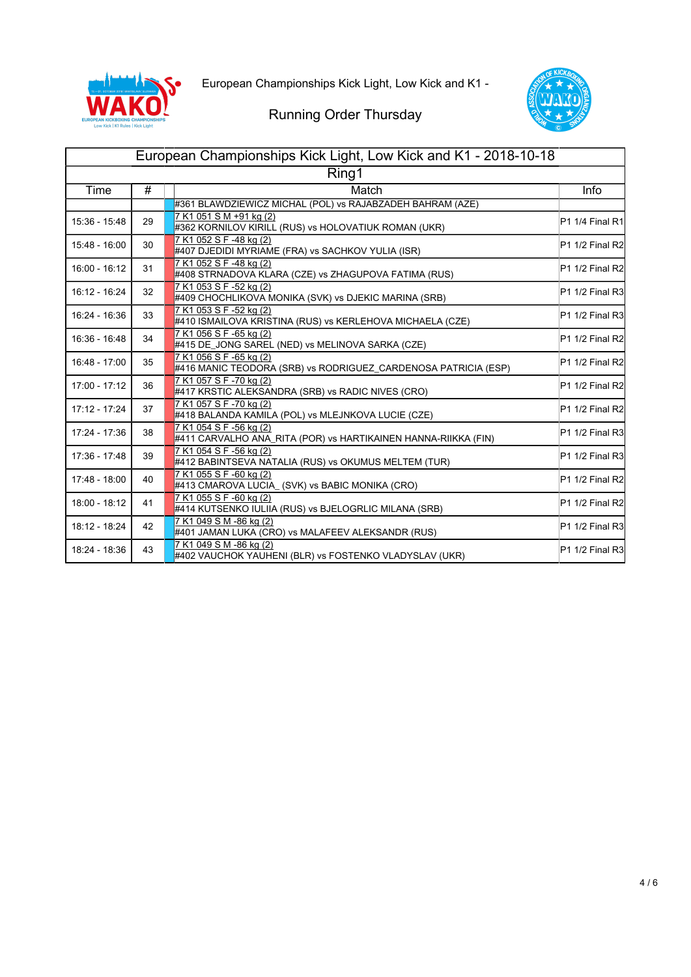



| European Championships Kick Light, Low Kick and K1 - 2018-10-18 |    |                                                                                           |                 |
|-----------------------------------------------------------------|----|-------------------------------------------------------------------------------------------|-----------------|
| Ring1                                                           |    |                                                                                           |                 |
| Time                                                            | #  | Match                                                                                     | <b>Info</b>     |
|                                                                 |    | #361 BLAWDZIEWICZ MICHAL (POL) vs RAJABZADEH BAHRAM (AZE)                                 |                 |
| 15:36 - 15:48                                                   | 29 | 7 K1 051 S M +91 kg (2)<br>#362 KORNILOV KIRILL (RUS) vs HOLOVATIUK ROMAN (UKR)           | P1 1/4 Final R1 |
| 15:48 - 16:00                                                   | 30 | 7 K1 052 S F -48 kg (2)<br>#407 DJEDIDI MYRIAME (FRA) vs SACHKOV YULIA (ISR)              | P1 1/2 Final R2 |
| 16:00 - 16:12                                                   | 31 | 7 K1 052 S F -48 kg (2)<br>#408 STRNADOVA KLARA (CZE) vs ZHAGUPOVA FATIMA (RUS)           | P1 1/2 Final R2 |
| 16:12 - 16:24                                                   | 32 | 7 K1 053 S F -52 kg (2)<br>#409 CHOCHLIKOVA MONIKA (SVK) vs DJEKIC MARINA (SRB)           | P1 1/2 Final R3 |
| 16:24 - 16:36                                                   | 33 | 7 K1 053 S F -52 ka (2)<br>#410 ISMAILOVA KRISTINA (RUS) vs KERLEHOVA MICHAELA (CZE)      | P1 1/2 Final R3 |
| 16:36 - 16:48                                                   | 34 | 7 K1 056 S F -65 kg (2)<br>#415 DE_JONG SAREL (NED) vs MELINOVA SARKA (CZE)               | P1 1/2 Final R2 |
| 16:48 - 17:00                                                   | 35 | 7 K1 056 S F -65 kg (2)<br>#416 MANIC TEODORA (SRB) vs RODRIGUEZ CARDENOSA PATRICIA (ESP) | P1 1/2 Final R2 |
| 17:00 - 17:12                                                   | 36 | 7 K1 057 S F -70 kg (2)<br>#417 KRSTIC ALEKSANDRA (SRB) vs RADIC NIVES (CRO)              | P1 1/2 Final R2 |
| 17:12 - 17:24                                                   | 37 | 7 K1 057 S F -70 kg (2)<br>#418 BALANDA KAMILA (POL) vs MLEJNKOVA LUCIE (CZE)             | P1 1/2 Final R2 |
| 17:24 - 17:36                                                   | 38 | 7 K1 054 S F -56 kg (2)<br>#411 CARVALHO ANA_RITA (POR) vs HARTIKAINEN HANNA-RIIKKA (FIN) | P1 1/2 Final R3 |
| 17:36 - 17:48                                                   | 39 | 7 K1 054 S F -56 kg (2)<br>#412 BABINTSEVA NATALIA (RUS) vs OKUMUS MELTEM (TUR)           | P1 1/2 Final R3 |
| 17:48 - 18:00                                                   | 40 | 7 K1 055 S F -60 kg (2)<br>#413 CMAROVA LUCIA_ (SVK) vs BABIC MONIKA (CRO)                | P1 1/2 Final R2 |
| 18:00 - 18:12                                                   | 41 | 7 K1 055 S F -60 kg (2)<br>#414 KUTSENKO IULIIA (RUS) vs BJELOGRLIC MILANA (SRB)          | P1 1/2 Final R2 |
| 18:12 - 18:24                                                   | 42 | 7 K1 049 S M -86 kg (2)<br>#401 JAMAN LUKA (CRO) vs MALAFEEV ALEKSANDR (RUS)              | P1 1/2 Final R3 |
| 18:24 - 18:36                                                   | 43 | 7 K1 049 S M -86 kg (2)<br>#402 VAUCHOK YAUHENI (BLR) vs FOSTENKO VLADYSLAV (UKR)         | P1 1/2 Final R3 |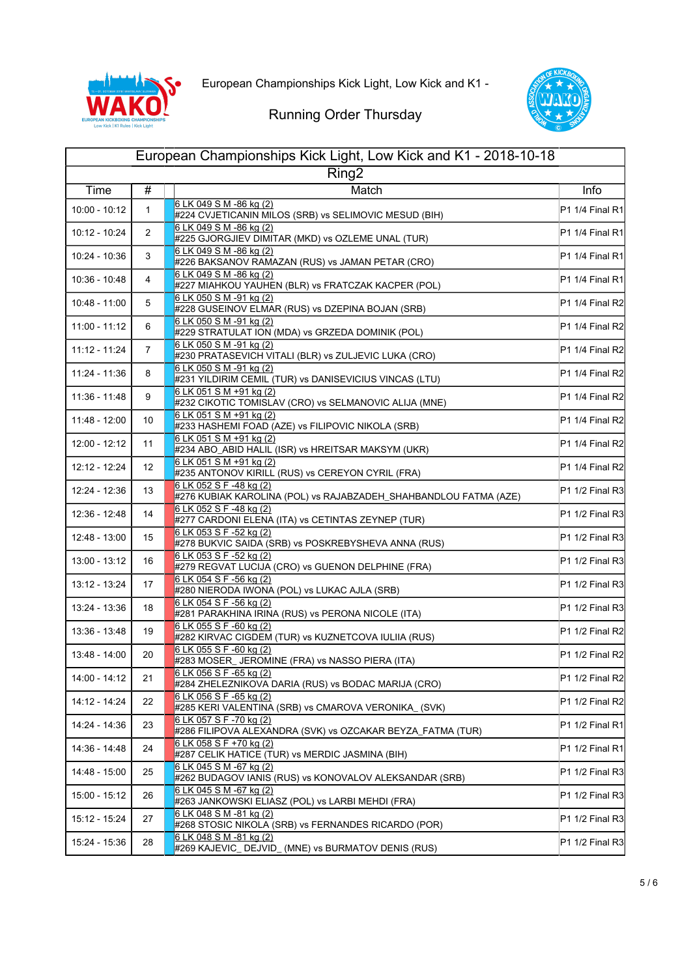



| European Championships Kick Light, Low Kick and K1 - 2018-10-18 |                 |                                                                                             |                 |
|-----------------------------------------------------------------|-----------------|---------------------------------------------------------------------------------------------|-----------------|
| Ring <sub>2</sub>                                               |                 |                                                                                             |                 |
| Time                                                            | #               | Match                                                                                       | Info            |
| $10:00 - 10:12$                                                 | $\mathbf{1}$    | 6 LK 049 S M -86 kg (2)<br>#224 CVJETICANIN MILOS (SRB) vs SELIMOVIC MESUD (BIH)            | P1 1/4 Final R1 |
| 10:12 - 10:24                                                   | $\overline{2}$  | 6 LK 049 S M -86 kg (2)<br>#225 GJORGJIEV DIMITAR (MKD) vs OZLEME UNAL (TUR)                | P1 1/4 Final R1 |
| 10:24 - 10:36                                                   | 3               | 6 LK 049 S M -86 kg (2)<br>#226 BAKSANOV RAMAZAN (RUS) vs JAMAN PETAR (CRO)                 | P1 1/4 Final R1 |
| 10:36 - 10:48                                                   | 4               | 6 LK 049 S M -86 kg (2)<br>#227 MIAHKOU YAUHEN (BLR) vs FRATCZAK KACPER (POL)               | P1 1/4 Final R1 |
| 10:48 - 11:00                                                   | 5               | 6 LK 050 S M -91 kg (2)<br>#228 GUSEINOV ELMAR (RUS) vs DZEPINA BOJAN (SRB)                 | P1 1/4 Final R2 |
| $11:00 - 11:12$                                                 | 6               | 6 LK 050 S M -91 kg (2)<br>#229 STRATULAT ION (MDA) vs GRZEDA DOMINIK (POL)                 | P1 1/4 Final R2 |
| 11:12 - 11:24                                                   | 7               | 6 LK 050 S M -91 kg (2)<br>#230 PRATASEVICH VITALI (BLR) vs ZULJEVIC LUKA (CRO)             | P1 1/4 Final R2 |
| 11:24 - 11:36                                                   | 8               | 6 LK 050 S M -91 kg (2)<br>#231 YILDIRIM CEMIL (TUR) vs DANISEVICIUS VINCAS (LTU)           | P1 1/4 Final R2 |
| 11:36 - 11:48                                                   | 9               | 6 LK 051 S M +91 kg (2)<br>#232 CIKOTIC TOMISLAV (CRO) vs SELMANOVIC ALIJA (MNE)            | P1 1/4 Final R2 |
| 11:48 - 12:00                                                   | 10              | 6 LK 051 S M +91 kg (2)<br>#233 HASHEMI FOAD (AZE) vs FILIPOVIC NIKOLA (SRB)                | P1 1/4 Final R2 |
| 12:00 - 12:12                                                   | 11              | 6 LK 051 S M +91 kg (2)<br>#234 ABO_ABID HALIL (ISR) vs HREITSAR MAKSYM (UKR)               | P1 1/4 Final R2 |
| 12:12 - 12:24                                                   | 12 <sup>°</sup> | 6 LK 051 S M +91 kg (2)<br>#235 ANTONOV KIRILL (RUS) vs CEREYON CYRIL (FRA)                 | P1 1/4 Final R2 |
| 12:24 - 12:36                                                   | 13              | 6 LK 052 S F -48 kg (2)<br>#276 KUBIAK KAROLINA (POL) vs RAJABZADEH_SHAHBANDLOU FATMA (AZE) | P1 1/2 Final R3 |
| 12:36 - 12:48                                                   | 14              | 6 LK 052 S F -48 kg (2)<br>#277 CARDONI ELENA (ITA) vs CETINTAS ZEYNEP (TUR)                | P1 1/2 Final R3 |
| 12:48 - 13:00                                                   | 15              | 6 LK 053 S F -52 kg (2)<br>#278 BUKVIC SAIDA (SRB) vs POSKREBYSHEVA ANNA (RUS)              | P1 1/2 Final R3 |
| 13:00 - 13:12                                                   | 16              | 6 LK 053 S F -52 kg (2)<br>#279 REGVAT LUCIJA (CRO) vs GUENON DELPHINE (FRA)                | P1 1/2 Final R3 |
| 13:12 - 13:24                                                   | 17              | 6 LK 054 S F -56 kg (2)<br>#280 NIERODA IWONA (POL) vs LUKAC AJLA (SRB)                     | P1 1/2 Final R3 |
| 13:24 - 13:36                                                   | 18              | 6 LK 054 S F -56 kg (2)<br>#281 PARAKHINA IRINA (RUS) vs PERONA NICOLE (ITA)                | P1 1/2 Final R3 |
| 13:36 - 13:48                                                   | 19              | 6 LK 055 S F -60 kg (2)<br>#282 KIRVAC CIGDEM (TUR) vs KUZNETCOVA IULIIA (RUS)              | P1 1/2 Final R2 |
| 13:48 - 14:00                                                   | 20              | 6 LK 055 S F -60 kg (2)<br>#283 MOSER_ JEROMINE (FRA) vs NASSO PIERA (ITA)                  | P1 1/2 Final R2 |
| 14:00 - 14:12                                                   | 21              | 6 LK 056 S F -65 kg (2)<br>#284 ZHELEZNIKOVA DARIA (RUS) vs BODAC MARIJA (CRO)              | P1 1/2 Final R2 |
| 14:12 - 14:24                                                   | 22              | 6 LK 056 S F -65 kg (2)<br>#285 KERI VALENTINA (SRB) vs CMAROVA VERONIKA_(SVK)              | P1 1/2 Final R2 |
| 14:24 - 14:36                                                   | 23              | 6 LK 057 S F -70 kg (2)<br>#286 FILIPOVA ALEXANDRA (SVK) vs OZCAKAR BEYZA_FATMA (TUR)       | P1 1/2 Final R1 |
| 14:36 - 14:48                                                   | 24              | 6 LK 058 S F +70 kg (2)<br>#287 CELIK HATICE (TUR) vs MERDIC JASMINA (BIH)                  | P1 1/2 Final R1 |
| 14:48 - 15:00                                                   | 25              | 6 LK 045 S M -67 kg (2)<br>#262 BUDAGOV IANIS (RUS) vs KONOVALOV ALEKSANDAR (SRB)           | P1 1/2 Final R3 |
| 15:00 - 15:12                                                   | 26              | 6 LK 045 S M -67 kg (2)<br>#263 JANKOWSKI ELIASZ (POL) vs LARBI MEHDI (FRA)                 | P1 1/2 Final R3 |
| 15:12 - 15:24                                                   | 27              | 6 LK 048 S M -81 kg (2)<br>#268 STOSIC NIKOLA (SRB) vs FERNANDES RICARDO (POR)              | P1 1/2 Final R3 |
| 15:24 - 15:36                                                   | 28              | 6 LK 048 S M -81 kg (2)<br>#269 KAJEVIC_ DEJVID_ (MNE) vs BURMATOV DENIS (RUS)              | P1 1/2 Final R3 |